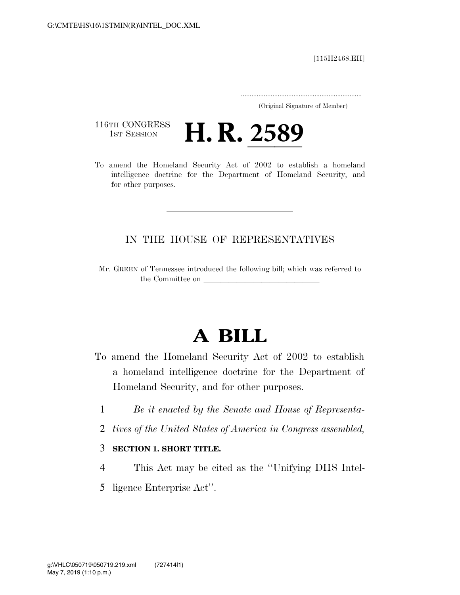[115H2468.EH]

..................................................................... (Original Signature of Member)

116TH CONGRESS<br>1st Session

116TH CONGRESS<br>To amend the Homeland Security Act of 2002 to establish a homeland intelligence doctrine for the Department of Homeland Security, and for other purposes.

### IN THE HOUSE OF REPRESENTATIVES

Mr. GREEN of Tennessee introduced the following bill; which was referred to the Committee on

# **A BILL**

- To amend the Homeland Security Act of 2002 to establish a homeland intelligence doctrine for the Department of Homeland Security, and for other purposes.
	- 1 *Be it enacted by the Senate and House of Representa-*
	- 2 *tives of the United States of America in Congress assembled,*

#### 3 **SECTION 1. SHORT TITLE.**

- 4 This Act may be cited as the ''Unifying DHS Intel-
- 5 ligence Enterprise Act''.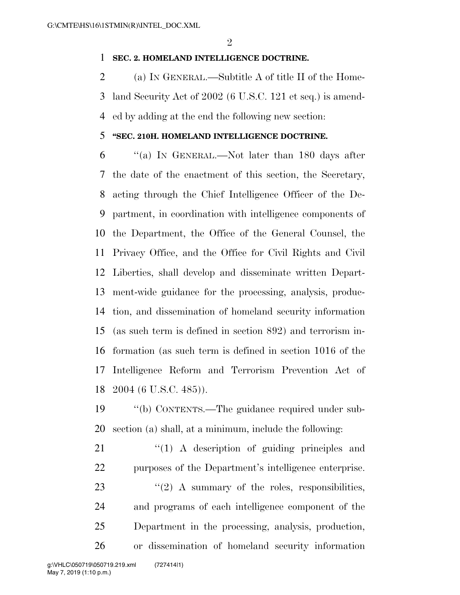#### **SEC. 2. HOMELAND INTELLIGENCE DOCTRINE.**

 (a) IN GENERAL.—Subtitle A of title II of the Home- land Security Act of 2002 (6 U.S.C. 121 et seq.) is amend-ed by adding at the end the following new section:

#### **''SEC. 210H. HOMELAND INTELLIGENCE DOCTRINE.**

 ''(a) IN GENERAL.—Not later than 180 days after the date of the enactment of this section, the Secretary, acting through the Chief Intelligence Officer of the De- partment, in coordination with intelligence components of the Department, the Office of the General Counsel, the Privacy Office, and the Office for Civil Rights and Civil Liberties, shall develop and disseminate written Depart- ment-wide guidance for the processing, analysis, produc- tion, and dissemination of homeland security information (as such term is defined in section 892) and terrorism in- formation (as such term is defined in section 1016 of the Intelligence Reform and Terrorism Prevention Act of 2004 (6 U.S.C. 485)).

 ''(b) CONTENTS.—The guidance required under sub-section (a) shall, at a minimum, include the following:

 $\frac{1}{2}$  (1) A description of guiding principles and purposes of the Department's intelligence enterprise. 23 "(2) A summary of the roles, responsibilities, and programs of each intelligence component of the Department in the processing, analysis, production, or dissemination of homeland security information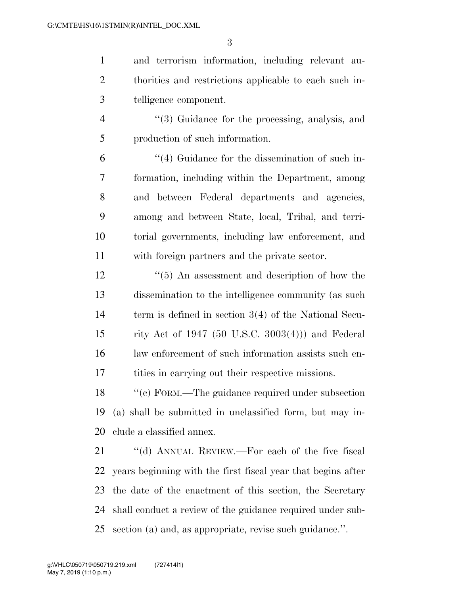and terrorism information, including relevant au- thorities and restrictions applicable to each such in-telligence component.

4 ''(3) Guidance for the processing, analysis, and production of such information.

 ''(4) Guidance for the dissemination of such in- formation, including within the Department, among and between Federal departments and agencies, among and between State, local, Tribal, and terri- torial governments, including law enforcement, and with foreign partners and the private sector.

12 ''(5) An assessment and description of how the dissemination to the intelligence community (as such term is defined in section 3(4) of the National Secu- rity Act of 1947 (50 U.S.C. 3003(4))) and Federal law enforcement of such information assists such en-tities in carrying out their respective missions.

18 "(c) FORM.—The guidance required under subsection (a) shall be submitted in unclassified form, but may in-clude a classified annex.

21 "(d) ANNUAL REVIEW.—For each of the five fiscal years beginning with the first fiscal year that begins after the date of the enactment of this section, the Secretary shall conduct a review of the guidance required under sub-section (a) and, as appropriate, revise such guidance.''.